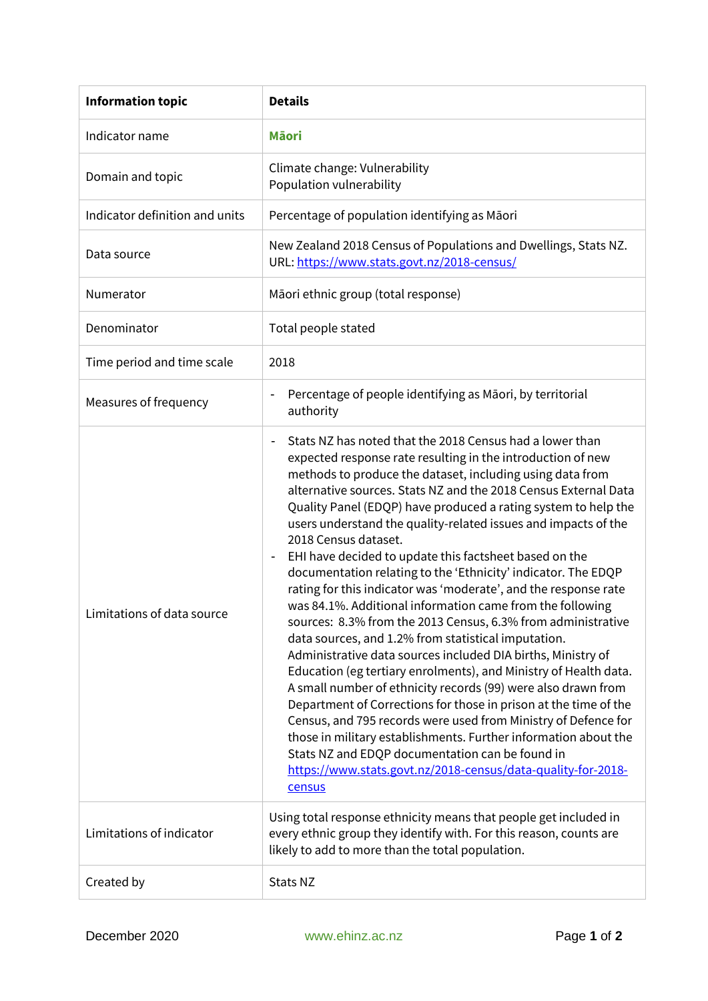| <b>Information topic</b>       | <b>Details</b>                                                                                                                                                                                                                                                                                                                                                                                                                                                                                                                                                                                                                                                                                                                                                                                                                                                                                                                                                                                                                                                                                                                                                                                                                                                                                                                                   |
|--------------------------------|--------------------------------------------------------------------------------------------------------------------------------------------------------------------------------------------------------------------------------------------------------------------------------------------------------------------------------------------------------------------------------------------------------------------------------------------------------------------------------------------------------------------------------------------------------------------------------------------------------------------------------------------------------------------------------------------------------------------------------------------------------------------------------------------------------------------------------------------------------------------------------------------------------------------------------------------------------------------------------------------------------------------------------------------------------------------------------------------------------------------------------------------------------------------------------------------------------------------------------------------------------------------------------------------------------------------------------------------------|
| Indicator name                 | <b>Mäori</b>                                                                                                                                                                                                                                                                                                                                                                                                                                                                                                                                                                                                                                                                                                                                                                                                                                                                                                                                                                                                                                                                                                                                                                                                                                                                                                                                     |
| Domain and topic               | Climate change: Vulnerability<br>Population vulnerability                                                                                                                                                                                                                                                                                                                                                                                                                                                                                                                                                                                                                                                                                                                                                                                                                                                                                                                                                                                                                                                                                                                                                                                                                                                                                        |
| Indicator definition and units | Percentage of population identifying as Māori                                                                                                                                                                                                                                                                                                                                                                                                                                                                                                                                                                                                                                                                                                                                                                                                                                                                                                                                                                                                                                                                                                                                                                                                                                                                                                    |
| Data source                    | New Zealand 2018 Census of Populations and Dwellings, Stats NZ.<br>URL: https://www.stats.govt.nz/2018-census/                                                                                                                                                                                                                                                                                                                                                                                                                                                                                                                                                                                                                                                                                                                                                                                                                                                                                                                                                                                                                                                                                                                                                                                                                                   |
| Numerator                      | Māori ethnic group (total response)                                                                                                                                                                                                                                                                                                                                                                                                                                                                                                                                                                                                                                                                                                                                                                                                                                                                                                                                                                                                                                                                                                                                                                                                                                                                                                              |
| Denominator                    | Total people stated                                                                                                                                                                                                                                                                                                                                                                                                                                                                                                                                                                                                                                                                                                                                                                                                                                                                                                                                                                                                                                                                                                                                                                                                                                                                                                                              |
| Time period and time scale     | 2018                                                                                                                                                                                                                                                                                                                                                                                                                                                                                                                                                                                                                                                                                                                                                                                                                                                                                                                                                                                                                                                                                                                                                                                                                                                                                                                                             |
| Measures of frequency          | Percentage of people identifying as Māori, by territorial<br>$\overline{\phantom{a}}$<br>authority                                                                                                                                                                                                                                                                                                                                                                                                                                                                                                                                                                                                                                                                                                                                                                                                                                                                                                                                                                                                                                                                                                                                                                                                                                               |
| Limitations of data source     | Stats NZ has noted that the 2018 Census had a lower than<br>expected response rate resulting in the introduction of new<br>methods to produce the dataset, including using data from<br>alternative sources. Stats NZ and the 2018 Census External Data<br>Quality Panel (EDQP) have produced a rating system to help the<br>users understand the quality-related issues and impacts of the<br>2018 Census dataset.<br>EHI have decided to update this factsheet based on the<br>documentation relating to the 'Ethnicity' indicator. The EDQP<br>rating for this indicator was 'moderate', and the response rate<br>was 84.1%. Additional information came from the following<br>sources: 8.3% from the 2013 Census, 6.3% from administrative<br>data sources, and 1.2% from statistical imputation.<br>Administrative data sources included DIA births, Ministry of<br>Education (eg tertiary enrolments), and Ministry of Health data.<br>A small number of ethnicity records (99) were also drawn from<br>Department of Corrections for those in prison at the time of the<br>Census, and 795 records were used from Ministry of Defence for<br>those in military establishments. Further information about the<br>Stats NZ and EDQP documentation can be found in<br>https://www.stats.govt.nz/2018-census/data-quality-for-2018-<br>census |
| Limitations of indicator       | Using total response ethnicity means that people get included in<br>every ethnic group they identify with. For this reason, counts are<br>likely to add to more than the total population.                                                                                                                                                                                                                                                                                                                                                                                                                                                                                                                                                                                                                                                                                                                                                                                                                                                                                                                                                                                                                                                                                                                                                       |
| Created by                     | Stats NZ                                                                                                                                                                                                                                                                                                                                                                                                                                                                                                                                                                                                                                                                                                                                                                                                                                                                                                                                                                                                                                                                                                                                                                                                                                                                                                                                         |